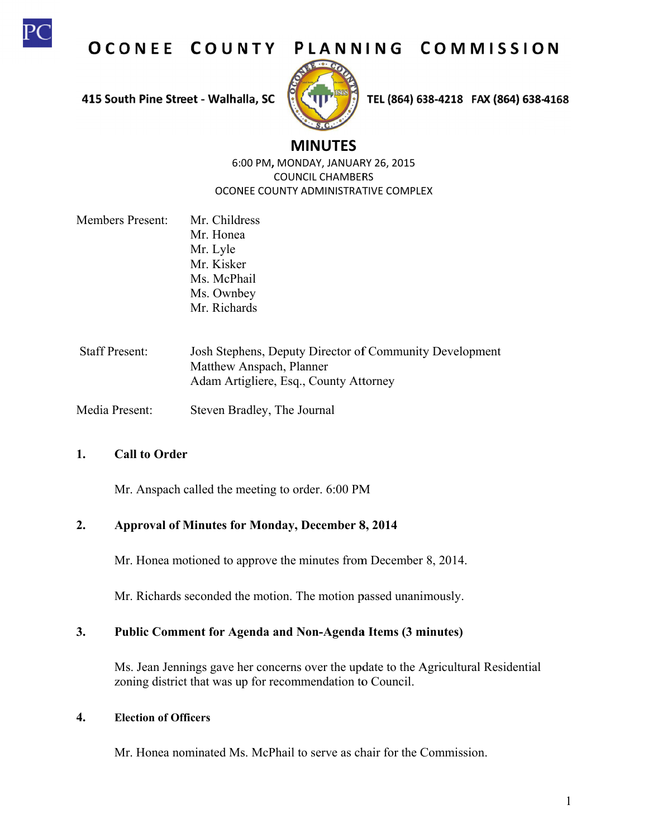

OCONEE COUNTY PLANNING COMMISSION

415 South Pine Street - Walhalla, SC



TEL (864) 638-4218 FAX (864) 638-4168

# **M MINUTES**

6:0 00 PM**,** MON DAY, JANUAR RY 26, 2015 OCONEE COUNTY ADMINISTRATIVE COMPLEX COUN CIL CHAMBER RS

- Members Present: Mr. Childress Mr. Honea Mr. Lyle Mr. Kisker Ms. McPhail Ms. Ownbey Mr. Richards
- Staff Present: Josh Stephens, Deputy Director of Community Development Matthew Anspach, Planner Adam Artigliere, Esq., County Attorney
- Media Present: Steven Bradley, The Journal

#### **1. C Call to Order**

Mr. Anspach called the meeting to order. 6:00 PM

#### $2.$ **Approval of Minutes for r Monday, D December 8 8, 2014**

Mr. Honea motioned to approve the minutes from December 8, 2014.

Mr. Richards seconded the motion. The motion passed unanimously.

#### $3.$ Public Comment for Agenda and Non-Agenda Items (3 minutes)

Ms. Jean Jennings gave her concerns over the update to the Agricultural Residential zoning district that was up for recommendation to Council.

#### **4. E Election of Of fficers**

Mr. Honea nominated Ms. McPhail to serve as chair for the Commission.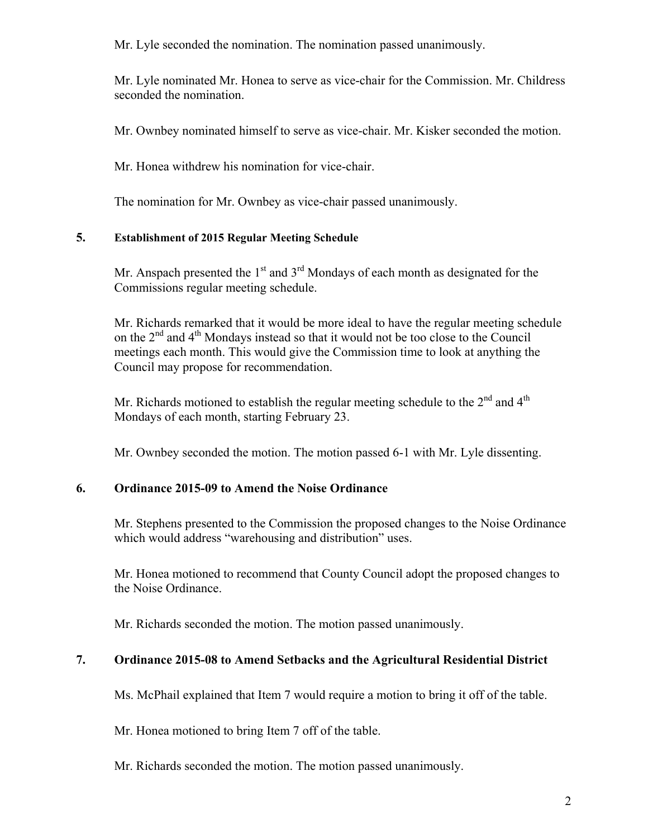Mr. Lyle seconded the nomination. The nomination passed unanimously.

Mr. Lyle nominated Mr. Honea to serve as vice-chair for the Commission. Mr. Childress seconded the nomination.

Mr. Ownbey nominated himself to serve as vice-chair. Mr. Kisker seconded the motion.

Mr. Honea withdrew his nomination for vice-chair.

The nomination for Mr. Ownbey as vice-chair passed unanimously.

### **5. Establishment of 2015 Regular Meeting Schedule**

Mr. Anspach presented the  $1<sup>st</sup>$  and  $3<sup>rd</sup>$  Mondays of each month as designated for the Commissions regular meeting schedule.

Mr. Richards remarked that it would be more ideal to have the regular meeting schedule on the  $2<sup>nd</sup>$  and  $4<sup>th</sup>$  Mondays instead so that it would not be too close to the Council meetings each month. This would give the Commission time to look at anything the Council may propose for recommendation.

Mr. Richards motioned to establish the regular meeting schedule to the  $2<sup>nd</sup>$  and  $4<sup>th</sup>$ Mondays of each month, starting February 23.

Mr. Ownbey seconded the motion. The motion passed 6-1 with Mr. Lyle dissenting.

# **6. Ordinance 2015-09 to Amend the Noise Ordinance**

Mr. Stephens presented to the Commission the proposed changes to the Noise Ordinance which would address "warehousing and distribution" uses.

Mr. Honea motioned to recommend that County Council adopt the proposed changes to the Noise Ordinance.

Mr. Richards seconded the motion. The motion passed unanimously.

# **7. Ordinance 2015-08 to Amend Setbacks and the Agricultural Residential District**

Ms. McPhail explained that Item 7 would require a motion to bring it off of the table.

Mr. Honea motioned to bring Item 7 off of the table.

Mr. Richards seconded the motion. The motion passed unanimously.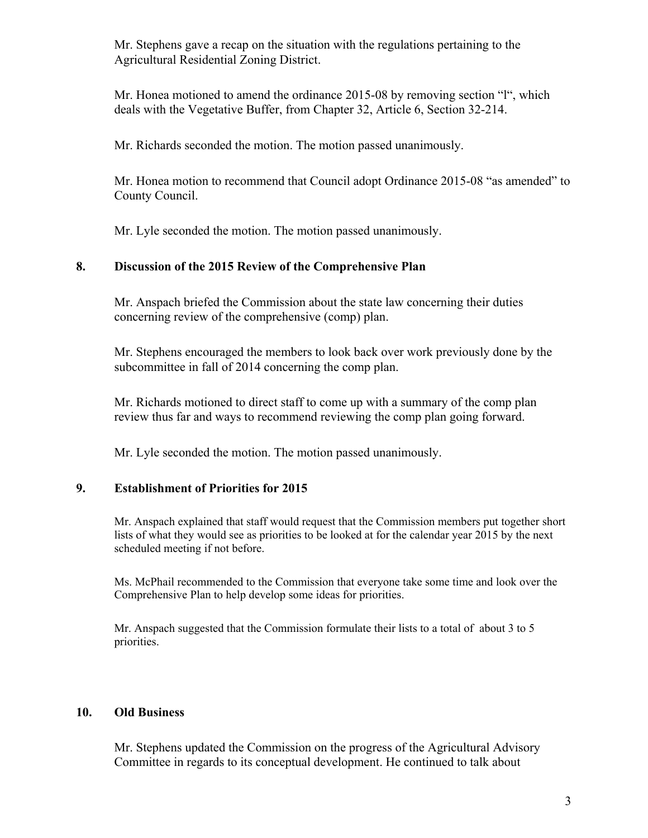Mr. Stephens gave a recap on the situation with the regulations pertaining to the Agricultural Residential Zoning District.

Mr. Honea motioned to amend the ordinance 2015-08 by removing section "l", which deals with the Vegetative Buffer, from Chapter 32, Article 6, Section 32-214.

Mr. Richards seconded the motion. The motion passed unanimously.

Mr. Honea motion to recommend that Council adopt Ordinance 2015-08 "as amended" to County Council.

Mr. Lyle seconded the motion. The motion passed unanimously.

### **8. Discussion of the 2015 Review of the Comprehensive Plan**

Mr. Anspach briefed the Commission about the state law concerning their duties concerning review of the comprehensive (comp) plan.

Mr. Stephens encouraged the members to look back over work previously done by the subcommittee in fall of 2014 concerning the comp plan.

Mr. Richards motioned to direct staff to come up with a summary of the comp plan review thus far and ways to recommend reviewing the comp plan going forward.

Mr. Lyle seconded the motion. The motion passed unanimously.

# **9. Establishment of Priorities for 2015**

Mr. Anspach explained that staff would request that the Commission members put together short lists of what they would see as priorities to be looked at for the calendar year 2015 by the next scheduled meeting if not before.

Ms. McPhail recommended to the Commission that everyone take some time and look over the Comprehensive Plan to help develop some ideas for priorities.

Mr. Anspach suggested that the Commission formulate their lists to a total of about 3 to 5 priorities.

### **10. Old Business**

Mr. Stephens updated the Commission on the progress of the Agricultural Advisory Committee in regards to its conceptual development. He continued to talk about